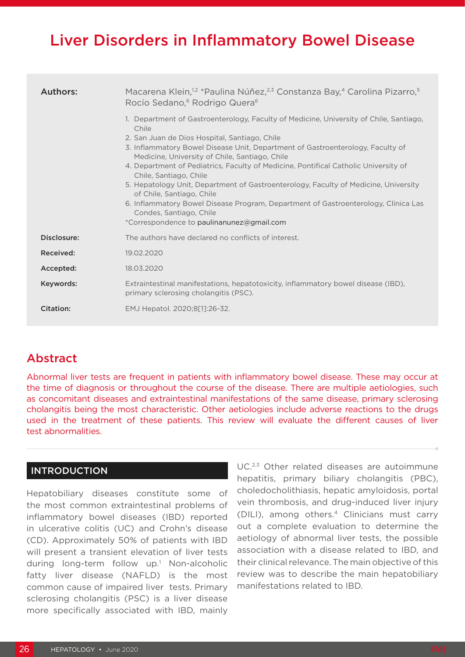# Liver Disorders in Inflammatory Bowel Disease

| <b>Authors:</b>  | Macarena Klein, <sup>1,2</sup> *Paulina Núñez, <sup>2,3</sup> Constanza Bay, <sup>4</sup> Carolina Pizarro, <sup>5</sup><br>Rocío Sedano, <sup>6</sup> Rodrigo Quera <sup>6</sup>                                                                                                                                                                                                                                                                                                                                                                                                                                                                                                       |
|------------------|-----------------------------------------------------------------------------------------------------------------------------------------------------------------------------------------------------------------------------------------------------------------------------------------------------------------------------------------------------------------------------------------------------------------------------------------------------------------------------------------------------------------------------------------------------------------------------------------------------------------------------------------------------------------------------------------|
|                  | 1. Department of Gastroenterology, Faculty of Medicine, University of Chile, Santiago,<br>Chile<br>2. San Juan de Dios Hospital, Santiago, Chile<br>3. Inflammatory Bowel Disease Unit, Department of Gastroenterology, Faculty of<br>Medicine, University of Chile, Santiago, Chile<br>4. Department of Pediatrics, Faculty of Medicine, Pontifical Catholic University of<br>Chile, Santiago, Chile<br>5. Hepatology Unit, Department of Gastroenterology, Faculty of Medicine, University<br>of Chile, Santiago, Chile<br>6. Inflammatory Bowel Disease Program, Department of Gastroenterology, Clínica Las<br>Condes, Santiago, Chile<br>*Correspondence to paulinanunez@gmail.com |
| Disclosure:      | The authors have declared no conflicts of interest.                                                                                                                                                                                                                                                                                                                                                                                                                                                                                                                                                                                                                                     |
| Received:        | 19.02.2020                                                                                                                                                                                                                                                                                                                                                                                                                                                                                                                                                                                                                                                                              |
| Accepted:        | 18.03.2020                                                                                                                                                                                                                                                                                                                                                                                                                                                                                                                                                                                                                                                                              |
| Keywords:        | Extraintestinal manifestations, hepatotoxicity, inflammatory bowel disease (IBD),<br>primary sclerosing cholangitis (PSC).                                                                                                                                                                                                                                                                                                                                                                                                                                                                                                                                                              |
| <b>Citation:</b> | EMJ Hepatol. 2020;8[1]:26-32.                                                                                                                                                                                                                                                                                                                                                                                                                                                                                                                                                                                                                                                           |

# Abstract

Abnormal liver tests are frequent in patients with inflammatory bowel disease. These may occur at the time of diagnosis or throughout the course of the disease. There are multiple aetiologies, such as concomitant diseases and extraintestinal manifestations of the same disease, primary sclerosing cholangitis being the most characteristic. Other aetiologies include adverse reactions to the drugs used in the treatment of these patients. This review will evaluate the different causes of liver test abnormalities.

#### **INTRODUCTION**

Hepatobiliary diseases constitute some of the most common extraintestinal problems of inflammatory bowel diseases (IBD) reported in ulcerative colitis (UC) and Crohn's disease (CD). Approximately 50% of patients with IBD will present a transient elevation of liver tests during long-term follow up.<sup>1</sup> Non-alcoholic fatty liver disease (NAFLD) is the most common cause of impaired liver tests. Primary sclerosing cholangitis (PSC) is a liver disease more specifically associated with IBD, mainly

UC.2,3 Other related diseases are autoimmune hepatitis, primary biliary cholangitis (PBC), choledocholithiasis, hepatic amyloidosis, portal vein thrombosis, and drug-induced liver injury (DILI), among others.4 Clinicians must carry out a complete evaluation to determine the aetiology of abnormal liver tests, the possible association with a disease related to IBD, and their clinical relevance. The main objective of this review was to describe the main hepatobiliary manifestations related to IBD.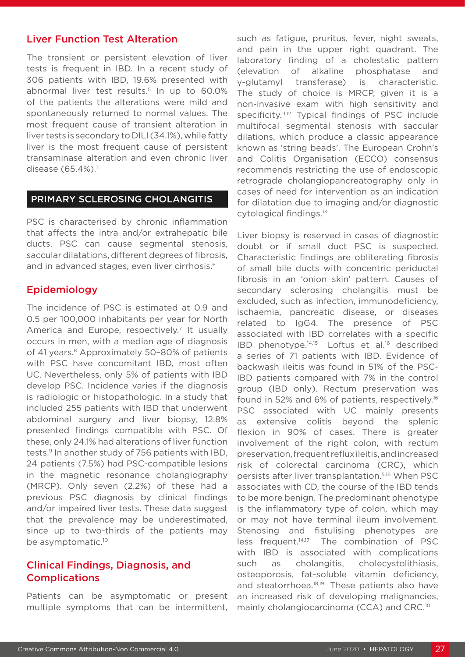#### Liver Function Test Alteration

The transient or persistent elevation of liver tests is frequent in IBD. In a recent study of 306 patients with IBD, 19.6% presented with abnormal liver test results.<sup>5</sup> In up to 60.0% of the patients the alterations were mild and spontaneously returned to normal values. The most frequent cause of transient alteration in liver tests is secondary to DILI (34.1%), while fatty liver is the most frequent cause of persistent transaminase alteration and even chronic liver disease (65.4%).<sup>1</sup>

#### PRIMARY SCLEROSING CHOLANGITIS

PSC is characterised by chronic inflammation that affects the intra and/or extrahepatic bile ducts. PSC can cause segmental stenosis, saccular dilatations, different degrees of fibrosis, and in advanced stages, even liver cirrhosis.<sup>6</sup>

## Epidemiology

The incidence of PSC is estimated at 0.9 and 0.5 per 100,000 inhabitants per year for North America and Europe, respectively.<sup>7</sup> It usually occurs in men, with a median age of diagnosis of 41 years.<sup>8</sup> Approximately 50-80% of patients with PSC have concomitant IBD, most often UC. Nevertheless, only 5% of patients with IBD develop PSC. Incidence varies if the diagnosis is radiologic or histopathologic. In a study that included 255 patients with IBD that underwent abdominal surgery and liver biopsy, 12.8% presented findings compatible with PSC. Of these, only 24.1% had alterations of liver function tests.<sup>9</sup> In another study of 756 patients with IBD, 24 patients (7.5%) had PSC-compatible lesions in the magnetic resonance cholangiography (MRCP). Only seven (2.2%) of these had a previous PSC diagnosis by clinical findings and/or impaired liver tests. These data suggest that the prevalence may be underestimated, since up to two-thirds of the patients may be asymptomatic.<sup>10</sup>

## Clinical Findings, Diagnosis, and Complications

Patients can be asymptomatic or present multiple symptoms that can be intermittent, such as fatigue, pruritus, fever, night sweats, and pain in the upper right quadrant. The laboratory finding of a cholestatic pattern (elevation of alkaline phosphatase and γ-glutamyl transferase) is characteristic. The study of choice is MRCP, given it is a non-invasive exam with high sensitivity and specificity.<sup>11,12</sup> Typical findings of PSC include multifocal segmental stenosis with saccular dilations, which produce a classic appearance known as 'string beads'. The European Crohn's and Colitis Organisation (ECCO) consensus recommends restricting the use of endoscopic retrograde cholangiopancreatography only in cases of need for intervention as an indication for dilatation due to imaging and/or diagnostic cytological findings.13

Liver biopsy is reserved in cases of diagnostic doubt or if small duct PSC is suspected. Characteristic findings are obliterating fibrosis of small bile ducts with concentric periductal fibrosis in an 'onion skin' pattern. Causes of secondary sclerosing cholangitis must be excluded, such as infection, immunodeficiency, ischaemia, pancreatic disease, or diseases related to IgG4. The presence of PSC associated with IBD correlates with a specific IBD phenotype.14,15 Loftus et al.16 described a series of 71 patients with IBD. Evidence of backwash ileitis was found in 51% of the PSC-IBD patients compared with 7% in the control group (IBD only). Rectum preservation was found in 52% and 6% of patients, respectively.16 PSC associated with UC mainly presents as extensive colitis beyond the splenic flexion in 90% of cases. There is greater involvement of the right colon, with rectum preservation, frequent reflux ileitis, and increased risk of colorectal carcinoma (CRC), which persists after liver transplantation.5,16 When PSC associates with CD, the course of the IBD tends to be more benign. The predominant phenotype is the inflammatory type of colon, which may or may not have terminal ileum involvement. Stenosing and fistulising phenotypes are less frequent.<sup>14,17</sup> The combination of PSC with IBD is associated with complications such as cholangitis, cholecystolithiasis, osteoporosis, fat-soluble vitamin deficiency, and steatorrhoea.<sup>18,19</sup> These patients also have an increased risk of developing malignancies, mainly cholangiocarcinoma (CCA) and CRC.10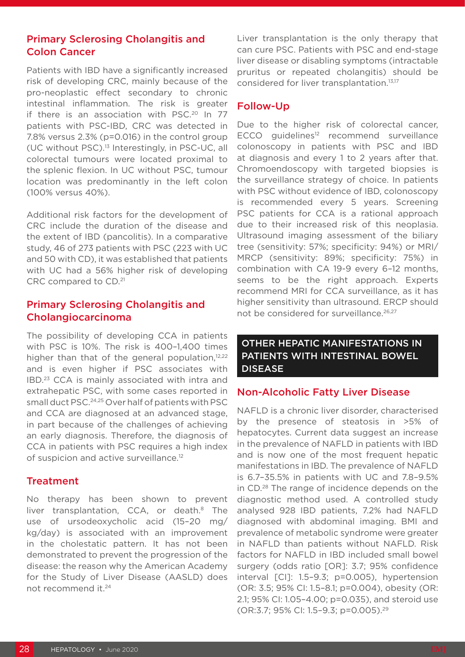# Primary Sclerosing Cholangitis and Colon Cancer

Patients with IBD have a significantly increased risk of developing CRC, mainly because of the pro-neoplastic effect secondary to chronic intestinal inflammation. The risk is greater if there is an association with PSC.<sup>20</sup> In 77 patients with PSC-IBD, CRC was detected in 7.8% versus 2.3% (p=0.016) in the control group (UC without PSC).13 Interestingly, in PSC-UC, all colorectal tumours were located proximal to the splenic flexion. In UC without PSC, tumour location was predominantly in the left colon (100% versus 40%).

Additional risk factors for the development of CRC include the duration of the disease and the extent of IBD (pancolitis). In a comparative study, 46 of 273 patients with PSC (223 with UC and 50 with CD), it was established that patients with UC had a 56% higher risk of developing CRC compared to CD.21

# Primary Sclerosing Cholangitis and Cholangiocarcinoma

The possibility of developing CCA in patients with PSC is 10%. The risk is 400–1,400 times higher than that of the general population, $12,22$ and is even higher if PSC associates with IBD.23 CCA is mainly associated with intra and extrahepatic PSC, with some cases reported in small duct PSC.24,25 Over half of patients with PSC and CCA are diagnosed at an advanced stage, in part because of the challenges of achieving an early diagnosis. Therefore, the diagnosis of CCA in patients with PSC requires a high index of suspicion and active surveillance.<sup>12</sup>

## **Treatment**

No therapy has been shown to prevent liver transplantation, CCA, or death.<sup>8</sup> The use of ursodeoxycholic acid (15–20 mg/ kg/day) is associated with an improvement in the cholestatic pattern. It has not been demonstrated to prevent the progression of the disease: the reason why the American Academy for the Study of Liver Disease (AASLD) does not recommend it.24

Liver transplantation is the only therapy that can cure PSC. Patients with PSC and end-stage liver disease or disabling symptoms (intractable pruritus or repeated cholangitis) should be considered for liver transplantation.<sup>13,17</sup>

# Follow-Up

Due to the higher risk of colorectal cancer, ECCO guidelines<sup>12</sup> recommend surveillance colonoscopy in patients with PSC and IBD at diagnosis and every 1 to 2 years after that. Chromoendoscopy with targeted biopsies is the surveillance strategy of choice. In patients with PSC without evidence of IBD, colonoscopy is recommended every 5 years. Screening PSC patients for CCA is a rational approach due to their increased risk of this neoplasia. Ultrasound imaging assessment of the biliary tree (sensitivity: 57%; specificity: 94%) or MRI/ MRCP (sensitivity: 89%; specificity: 75%) in combination with CA 19-9 every 6–12 months, seems to be the right approach. Experts recommend MRI for CCA surveillance, as it has higher sensitivity than ultrasound. ERCP should not be considered for surveillance.<sup>26,27</sup>

## OTHER HEPATIC MANIFESTATIONS IN PATIENTS WITH INTESTINAL BOWEL DISEASE

## Non-Alcoholic Fatty Liver Disease

NAFLD is a chronic liver disorder, characterised by the presence of steatosis in >5% of hepatocytes. Current data suggest an increase in the prevalence of NAFLD in patients with IBD and is now one of the most frequent hepatic manifestations in IBD. The prevalence of NAFLD is 6.7–35.5% in patients with UC and 7.8–9.5% in CD.28 The range of incidence depends on the diagnostic method used. A controlled study analysed 928 IBD patients, 7.2% had NAFLD diagnosed with abdominal imaging. BMI and prevalence of metabolic syndrome were greater in NAFLD than patients without NAFLD. Risk factors for NAFLD in IBD included small bowel surgery (odds ratio [OR]: 3.7; 95% confidence interval [CI]: 1.5–9.3; p=0.005), hypertension (OR: 3.5; 95% CI: 1.5–8.1; p=0.004), obesity (OR: 2.1; 95% CI: 1.05–4.00; p=0.035), and steroid use (OR:3.7; 95% CI: 1.5–9.3; p=0.005).29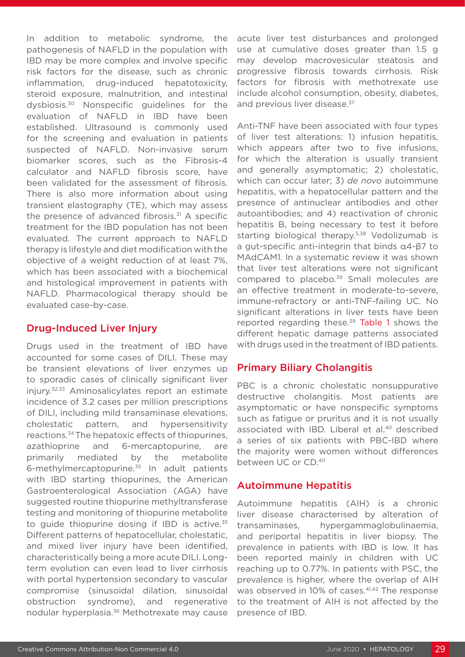In addition to metabolic syndrome, the pathogenesis of NAFLD in the population with IBD may be more complex and involve specific risk factors for the disease, such as chronic inflammation, drug-induced hepatotoxicity, steroid exposure, malnutrition, and intestinal dysbiosis.30 Nonspecific guidelines for the evaluation of NAFLD in IBD have been established. Ultrasound is commonly used for the screening and evaluation in patients suspected of NAFLD. Non-invasive serum biomarker scores, such as the Fibrosis-4 calculator and NAFLD fibrosis score, have been validated for the assessment of fibrosis. There is also more information about using transient elastography (TE), which may assess the presence of advanced fibrosis.<sup>31</sup> A specific treatment for the IBD population has not been evaluated. The current approach to NAFLD therapy is lifestyle and diet modification with the objective of a weight reduction of at least 7%, which has been associated with a biochemical and histological improvement in patients with NAFLD. Pharmacological therapy should be evaluated case-by-case.

#### Drug-Induced Liver Injury

Drugs used in the treatment of IBD have accounted for some cases of DILI. These may be transient elevations of liver enzymes up to sporadic cases of clinically significant liver injury.32,33 Aminosalicylates report an estimate incidence of 3.2 cases per million prescriptions of DILI, including mild transaminase elevations, cholestatic pattern, and hypersensitivity reactions.34 The hepatoxic effects of thiopurines, azathioprine and 6-mercaptopurine, are primarily mediated by the metabolite 6-methylmercaptopurine.35 In adult patients with IBD starting thiopurines, the American Gastroenterological Association (AGA) have suggested routine thiopurine methyltransferase testing and monitoring of thiopurine metabolite to guide thiopurine dosing if IBD is active.<sup>35</sup> Different patterns of hepatocellular, cholestatic, and mixed liver injury have been identified, characteristically being a more acute DILI. Longterm evolution can even lead to liver cirrhosis with portal hypertension secondary to vascular compromise (sinusoidal dilation, sinusoidal obstruction syndrome), and regenerative nodular hyperplasia.36 Methotrexate may cause

acute liver test disturbances and prolonged use at cumulative doses greater than 1.5 g may develop macrovesicular steatosis and progressive fibrosis towards cirrhosis. Risk factors for fibrosis with methotrexate use include alcohol consumption, obesity, diabetes, and previous liver disease.<sup>37</sup>

Anti-TNF have been associated with four types of liver test alterations: 1) infusion hepatitis, which appears after two to five infusions, for which the alteration is usually transient and generally asymptomatic; 2) cholestatic, which can occur later; 3) *de novo* autoimmune hepatitis, with a hepatocellular pattern and the presence of antinuclear antibodies and other autoantibodies; and 4) reactivation of chronic hepatitis B, being necessary to test it before starting biological therapy.<sup>5,38</sup> Vedolizumab is a gut-specific anti-integrin that binds α4-β7 to MAdCAM1. In a systematic review it was shown that liver test alterations were not significant compared to placebo.<sup>39</sup> Small molecules are an effective treatment in moderate-to-severe, immune-refractory or anti-TNF-failing UC. No significant alterations in liver tests have been reported regarding these.<sup>39</sup> Table 1 shows the different hepatic damage patterns associated with drugs used in the treatment of IBD patients.

# Primary Biliary Cholangitis

PBC is a chronic cholestatic nonsuppurative destructive cholangitis. Most patients are asymptomatic or have nonspecific symptoms such as fatigue or pruritus and it is not usually associated with IBD. Liberal et al.<sup>40</sup> described a series of six patients with PBC-IBD where the majority were women without differences between UC or CD.40

## Autoimmune Hepatitis

Autoimmune hepatitis (AIH) is a chronic liver disease characterised by alteration of transaminases, hypergammaglobulinaemia, and periportal hepatitis in liver biopsy. The prevalence in patients with IBD is low. It has been reported mainly in children with UC reaching up to 0.77%. In patients with PSC, the prevalence is higher, where the overlap of AIH was observed in 10% of cases.<sup>41,42</sup> The response to the treatment of AIH is not affected by the presence of IBD.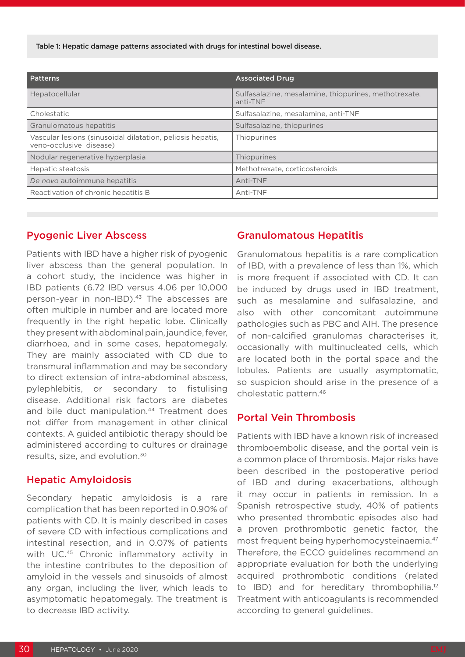Table 1: Hepatic damage patterns associated with drugs for intestinal bowel disease.

| <b>Patterns</b>                                                                       | <b>Associated Drug</b>                                            |
|---------------------------------------------------------------------------------------|-------------------------------------------------------------------|
| Hepatocellular                                                                        | Sulfasalazine, mesalamine, thiopurines, methotrexate,<br>anti-TNF |
| Cholestatic                                                                           | Sulfasalazine, mesalamine, anti-TNF                               |
| Granulomatous hepatitis                                                               | Sulfasalazine, thiopurines                                        |
| Vascular lesions (sinusoidal dilatation, peliosis hepatis,<br>veno-occlusive disease) | Thiopurines                                                       |
| Nodular regenerative hyperplasia                                                      | Thiopurines                                                       |
| Hepatic steatosis                                                                     | Methotrexate, corticosteroids                                     |
| De novo autoimmune hepatitis                                                          | Anti-TNF                                                          |
| Reactivation of chronic hepatitis B                                                   | Anti-TNF                                                          |

#### Pyogenic Liver Abscess

Patients with IBD have a higher risk of pyogenic liver abscess than the general population. In a cohort study, the incidence was higher in IBD patients (6.72 IBD versus 4.06 per 10,000 person-year in non-IBD).<sup>43</sup> The abscesses are often multiple in number and are located more frequently in the right hepatic lobe. Clinically they present with abdominal pain, jaundice, fever, diarrhoea, and in some cases, hepatomegaly. They are mainly associated with CD due to transmural inflammation and may be secondary to direct extension of intra-abdominal abscess, pylephlebitis, or secondary to fistulising disease. Additional risk factors are diabetes and bile duct manipulation.<sup>44</sup> Treatment does not differ from management in other clinical contexts. A guided antibiotic therapy should be administered according to cultures or drainage results, size, and evolution.30

#### Hepatic Amyloidosis

Secondary hepatic amyloidosis is a rare complication that has been reported in 0.90% of patients with CD. It is mainly described in cases of severe CD with infectious complications and intestinal resection, and in 0.07% of patients with UC.<sup>45</sup> Chronic inflammatory activity in the intestine contributes to the deposition of amyloid in the vessels and sinusoids of almost any organ, including the liver, which leads to asymptomatic hepatomegaly. The treatment is to decrease IBD activity.

#### Granulomatous Hepatitis

Granulomatous hepatitis is a rare complication of IBD, with a prevalence of less than 1%, which is more frequent if associated with CD. It can be induced by drugs used in IBD treatment, such as mesalamine and sulfasalazine, and also with other concomitant autoimmune pathologies such as PBC and AIH. The presence of non-calcified granulomas characterises it, occasionally with multinucleated cells, which are located both in the portal space and the lobules. Patients are usually asymptomatic, so suspicion should arise in the presence of a cholestatic pattern.46

#### Portal Vein Thrombosis

Patients with IBD have a known risk of increased thromboembolic disease, and the portal vein is a common place of thrombosis. Major risks have been described in the postoperative period of IBD and during exacerbations, although it may occur in patients in remission. In a Spanish retrospective study, 40% of patients who presented thrombotic episodes also had a proven prothrombotic genetic factor, the most frequent being hyperhomocysteinaemia.47 Therefore, the ECCO guidelines recommend an appropriate evaluation for both the underlying acquired prothrombotic conditions (related to IBD) and for hereditary thrombophilia.<sup>12</sup> Treatment with anticoagulants is recommended according to general guidelines.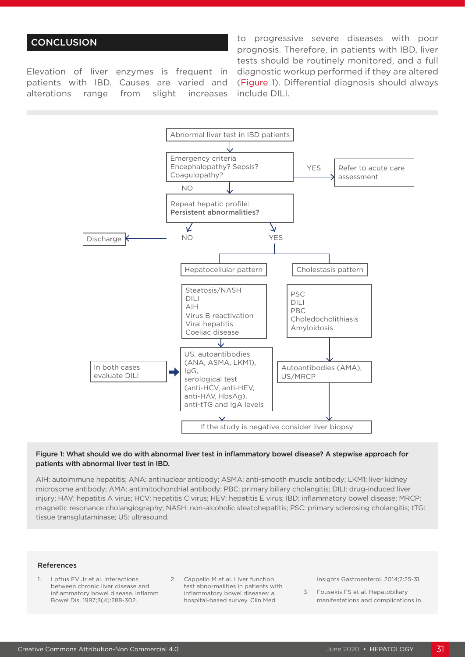## **CONCLUSION**

Elevation of liver enzymes is frequent in patients with IBD. Causes are varied and alterations range from slight increases

to progressive severe diseases with poor prognosis. Therefore, in patients with IBD, liver tests should be routinely monitored, and a full diagnostic workup performed if they are altered (Figure 1). Differential diagnosis should always include DILI.



#### Figure 1: What should we do with abnormal liver test in inflammatory bowel disease? A stepwise approach for patients with abnormal liver test in IBD.

AIH: autoimmune hepatitis; ANA: antinuclear antibody; ASMA: anti-smooth muscle antibody; LKM1: liver kidney microsome antibody; AMA: antimitochondrial antibody; PBC: primary biliary cholangitis; DILI: drug-induced liver injury; HAV: hepatitis A virus; HCV: hepatitis C virus; HEV: hepatitis E virus; IBD: inflammatory bowel disease; MRCP: magnetic resonance cholangiography; NASH: non-alcoholic steatohepatitis; PSC: primary sclerosing cholangitis; tTG: tissue transglutaminase; US: ultrasound.

#### References

- 1. Loftus EV Jr et al. Interactions between chronic liver disease and inflammatory bowel disease. Inflamm Bowel Dis. 1997;3(4):288-302.
- 2. Cappello M et al. Liver function test abnormalities in patients with inflammatory bowel diseases: a hospital-based survey. Clin Med

Insights Gastroenterol. 2014;7:25-31.

3. Fousekis FS et al. Hepatobiliary manifestations and complications in